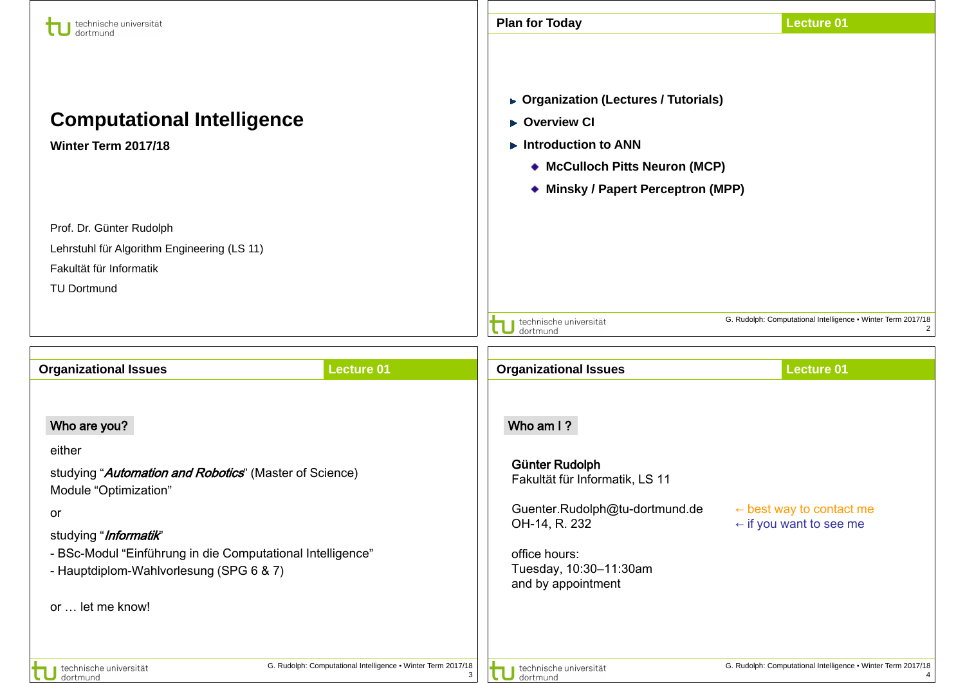| technische universität<br>dortmund                                                                 | <b>Plan for Today</b><br><b>Lecture 01</b>                                                                                                                                  |  |  |
|----------------------------------------------------------------------------------------------------|-----------------------------------------------------------------------------------------------------------------------------------------------------------------------------|--|--|
| <b>Computational Intelligence</b><br>Winter Term 2017/18                                           | ▶ Organization (Lectures / Tutorials)<br>▶ Overview CI<br>$\blacktriangleright$ Introduction to ANN<br>◆ McCulloch Pitts Neuron (MCP)<br>◆ Minsky / Papert Perceptron (MPP) |  |  |
| Prof. Dr. Günter Rudolph                                                                           |                                                                                                                                                                             |  |  |
| Lehrstuhl für Algorithm Engineering (LS 11)                                                        |                                                                                                                                                                             |  |  |
| Fakultät für Informatik                                                                            |                                                                                                                                                                             |  |  |
| <b>TU Dortmund</b>                                                                                 |                                                                                                                                                                             |  |  |
|                                                                                                    | G. Rudolph: Computational Intelligence . Winter Term 2017/18<br>technische universität<br>dortmund                                                                          |  |  |
| <b>Lecture 01</b><br><b>Organizational Issues</b>                                                  | <b>Organizational Issues</b><br><b>Lecture 01</b>                                                                                                                           |  |  |
| Who are you?                                                                                       | Who am I?                                                                                                                                                                   |  |  |
| either                                                                                             |                                                                                                                                                                             |  |  |
| studying "Automation and Robotics" (Master of Science)<br>Module "Optimization"                    | Günter Rudolph<br>Fakultät für Informatik, LS 11                                                                                                                            |  |  |
| or                                                                                                 | Guenter.Rudolph@tu-dortmund.de<br>$\leftarrow$ best way to contact me                                                                                                       |  |  |
| studying " <i>Informatik</i> "                                                                     | OH-14, R. 232<br>$\leftarrow$ if you want to see me                                                                                                                         |  |  |
| - BSc-Modul "Einführung in die Computational Intelligence"                                         | office hours:                                                                                                                                                               |  |  |
| - Hauptdiplom-Wahlvorlesung (SPG 6 & 7)                                                            | Tuesday, 10:30-11:30am<br>and by appointment                                                                                                                                |  |  |
| or  let me know!                                                                                   |                                                                                                                                                                             |  |  |
| G. Rudolph: Computational Intelligence . Winter Term 2017/18<br>technische universität<br>dortmund | G. Rudolph: Computational Intelligence . Winter Term 2017/18<br>technische universität<br>3<br>dortmund                                                                     |  |  |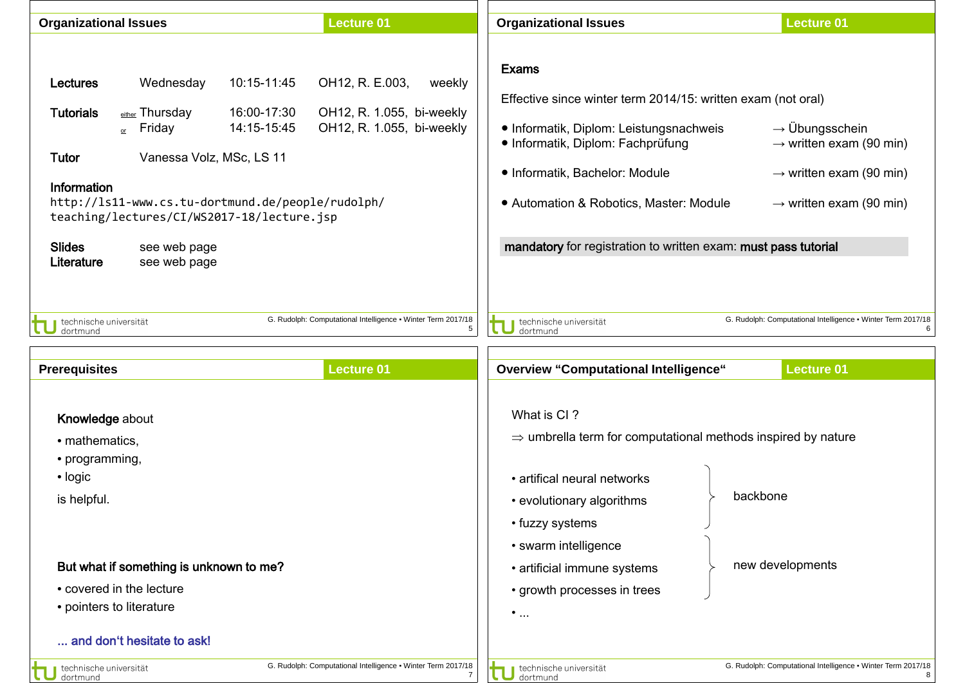| <b>Organizational Issues</b>                                                               |                                                                                                                                                                                                                      |                                           | <b>Lecture 01</b>                                                                      | <b>Organizational Issues</b>                                                                                                                                                                                                                                                                                | <b>Lecture 01</b>                                                                                                                               |
|--------------------------------------------------------------------------------------------|----------------------------------------------------------------------------------------------------------------------------------------------------------------------------------------------------------------------|-------------------------------------------|----------------------------------------------------------------------------------------|-------------------------------------------------------------------------------------------------------------------------------------------------------------------------------------------------------------------------------------------------------------------------------------------------------------|-------------------------------------------------------------------------------------------------------------------------------------------------|
| <b>Lectures</b><br><b>Tutorials</b><br>Tutor<br>Information<br><b>Slides</b><br>Literature | Wednesday<br>either Thursday<br>$_{\text{or}}$ Friday<br>Vanessa Volz, MSc, LS 11<br>http://ls11-www.cs.tu-dortmund.de/people/rudolph/<br>teaching/lectures/CI/WS2017-18/lecture.jsp<br>see web page<br>see web page | 10:15-11:45<br>16:00-17:30<br>14:15-15:45 | OH12, R. E.003,<br>weekly<br>OH12, R. 1.055, bi-weekly<br>OH12, R. 1.055, bi-weekly    | <b>Exams</b><br>Effective since winter term 2014/15: written exam (not oral)<br>• Informatik, Diplom: Leistungsnachweis<br>· Informatik, Diplom: Fachprüfung<br>· Informatik, Bachelor: Module<br>• Automation & Robotics, Master: Module<br>mandatory for registration to written exam: must pass tutorial | $\rightarrow$ Übungsschein<br>$\rightarrow$ written exam (90 min)<br>$\rightarrow$ written exam (90 min)<br>$\rightarrow$ written exam (90 min) |
| technische universität<br>dortmund<br><b>Prerequisites</b>                                 |                                                                                                                                                                                                                      |                                           | G. Rudolph: Computational Intelligence . Winter Term 2017/18<br>5<br><b>Lecture 01</b> | technische universität<br>dortmund<br><b>Overview "Computational Intelligence"</b>                                                                                                                                                                                                                          | G. Rudolph: Computational Intelligence . Winter Term 2017/18<br>6<br><b>Lecture 01</b>                                                          |
| Knowledge about<br>• mathematics,<br>• programming,                                        |                                                                                                                                                                                                                      |                                           |                                                                                        | What is CI?<br>$\Rightarrow$ umbrella term for computational methods inspired by nature                                                                                                                                                                                                                     |                                                                                                                                                 |
| • logic<br>is helpful.                                                                     |                                                                                                                                                                                                                      |                                           |                                                                                        | • artifical neural networks<br>• evolutionary algorithms<br>• fuzzy systems                                                                                                                                                                                                                                 | backbone                                                                                                                                        |
| • covered in the lecture<br>• pointers to literature                                       | But what if something is unknown to me?                                                                                                                                                                              |                                           |                                                                                        | • swarm intelligence<br>• artificial immune systems<br>• growth processes in trees<br>$\bullet$                                                                                                                                                                                                             | new developments                                                                                                                                |
|                                                                                            | and don't hesitate to ask!                                                                                                                                                                                           |                                           |                                                                                        |                                                                                                                                                                                                                                                                                                             |                                                                                                                                                 |
| technische universität<br>dortmund                                                         |                                                                                                                                                                                                                      |                                           | G. Rudolph: Computational Intelligence . Winter Term 2017/18                           | technische universität<br>dortmund                                                                                                                                                                                                                                                                          | G. Rudolph: Computational Intelligence . Winter Term 2017/18<br>R                                                                               |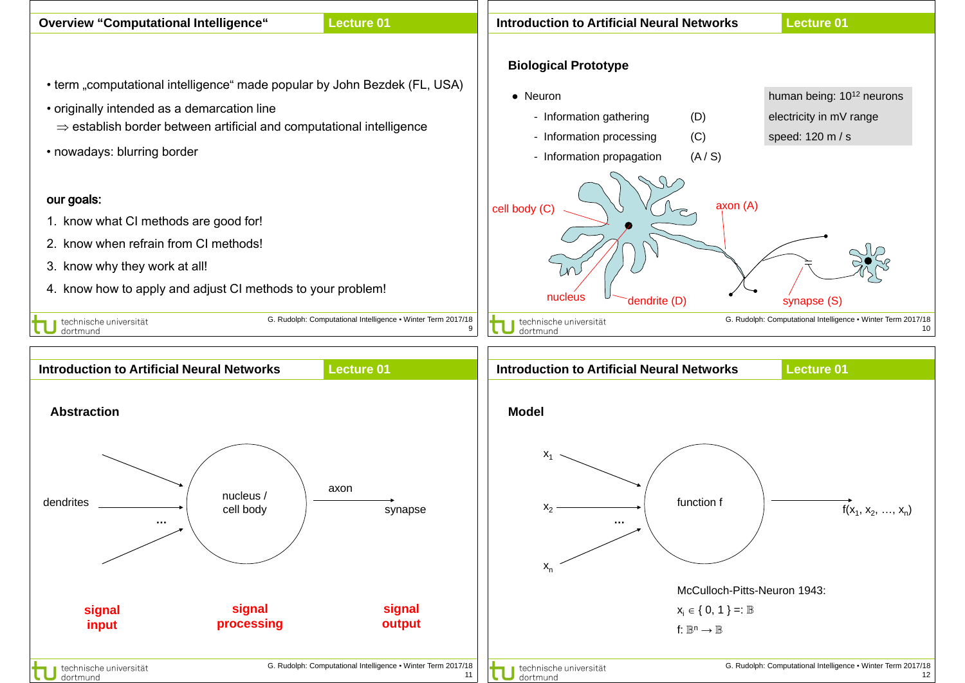| <b>Overview "Computational Intelligence"</b>                                     | Lecture 01                                                   | <b>Introduction to Artificial Neural Networks</b>                    | <b>Lecture 01</b>                                            |
|----------------------------------------------------------------------------------|--------------------------------------------------------------|----------------------------------------------------------------------|--------------------------------------------------------------|
|                                                                                  |                                                              | <b>Biological Prototype</b>                                          |                                                              |
| • term "computational intelligence" made popular by John Bezdek (FL, USA)        |                                                              |                                                                      |                                                              |
| • originally intended as a demarcation line                                      |                                                              | • Neuron                                                             | human being: 10 <sup>12</sup> neurons                        |
| $\Rightarrow$ establish border between artificial and computational intelligence |                                                              | - Information gathering<br>(D)                                       | electricity in mV range                                      |
| • nowadays: blurring border                                                      |                                                              | - Information processing<br>(C)                                      | speed: 120 m / s                                             |
|                                                                                  |                                                              | - Information propagation<br>(A/S)                                   |                                                              |
|                                                                                  |                                                              |                                                                      |                                                              |
| our goals:                                                                       |                                                              | axon (A)<br>cell body (C)                                            |                                                              |
| 1. know what CI methods are good for!                                            |                                                              |                                                                      |                                                              |
| 2. know when refrain from CI methods!                                            |                                                              |                                                                      |                                                              |
| 3. know why they work at all!                                                    |                                                              |                                                                      |                                                              |
| 4. know how to apply and adjust CI methods to your problem!                      |                                                              | nucleus<br>dendrite (D)                                              | synapse (S)                                                  |
| technische universität                                                           | G. Rudolph: Computational Intelligence • Winter Term 2017/18 | technische universität                                               | G. Rudolph: Computational Intelligence • Winter Term 2017/18 |
| dortmund                                                                         |                                                              | 9<br>dortmund                                                        |                                                              |
|                                                                                  | <b>Lecture 01</b>                                            |                                                                      |                                                              |
| <b>Introduction to Artificial Neural Networks</b>                                |                                                              | <b>Introduction to Artificial Neural Networks</b>                    | <b>Lecture 01</b>                                            |
| <b>Abstraction</b>                                                               |                                                              | <b>Model</b>                                                         |                                                              |
|                                                                                  |                                                              |                                                                      |                                                              |
|                                                                                  |                                                              | $X_1$                                                                |                                                              |
|                                                                                  |                                                              |                                                                      |                                                              |
|                                                                                  |                                                              |                                                                      |                                                              |
|                                                                                  | axon                                                         |                                                                      |                                                              |
| nucleus /<br>cell body                                                           | synapse                                                      | function f<br>$x_2$                                                  |                                                              |
| $\cdots$                                                                         |                                                              | $\sim$ 0.00 $\pm$                                                    |                                                              |
|                                                                                  |                                                              |                                                                      |                                                              |
|                                                                                  |                                                              | $X_n$                                                                | $f(x_1, x_2, , x_n)$                                         |
| dendrites                                                                        |                                                              | McCulloch-Pitts-Neuron 1943:                                         |                                                              |
| signal<br>signal<br>processing<br>input                                          | signal<br>output                                             | $X_i \in \{0, 1\} =: \mathbb{B}$<br>$f: \mathbb{B}^n \to \mathbb{B}$ |                                                              |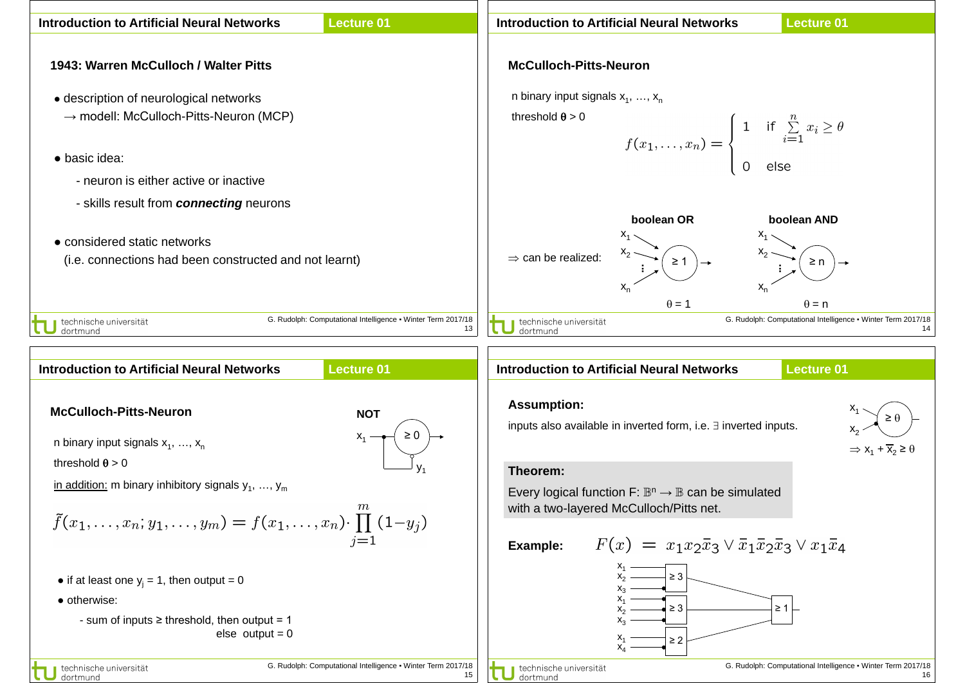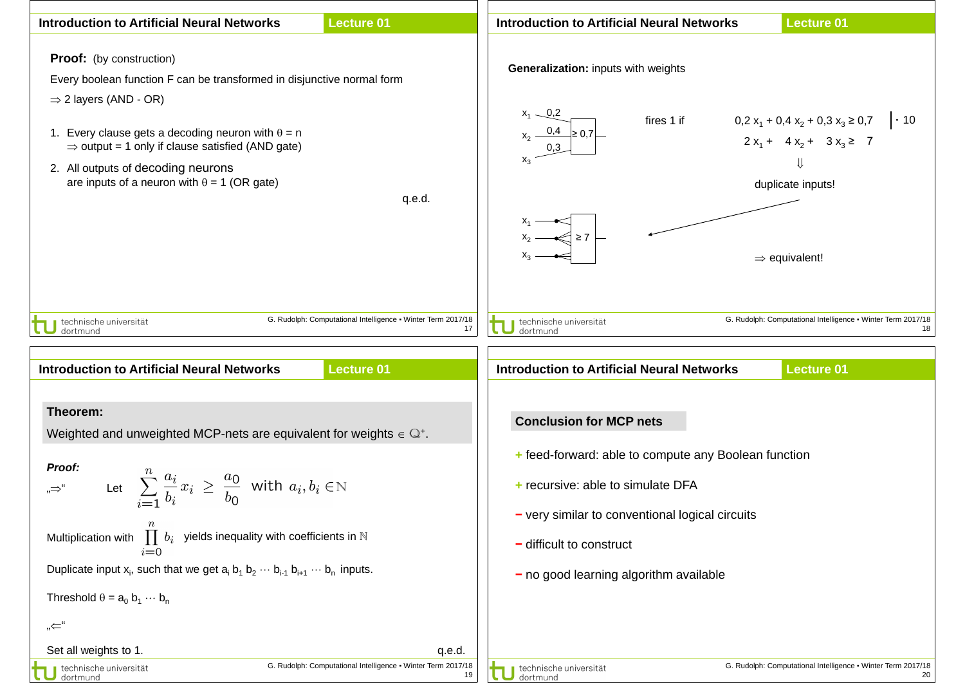| <b>Introduction to Artificial Neural Networks</b>                                                                                                                                                                                                                                                                                                                                                                                                                                                  | <b>Lecture 01</b>                                                                       | <b>Introduction to Artificial Neural Networks</b><br><b>Lecture 01</b>                                                                                                                                                                                                                                  |
|----------------------------------------------------------------------------------------------------------------------------------------------------------------------------------------------------------------------------------------------------------------------------------------------------------------------------------------------------------------------------------------------------------------------------------------------------------------------------------------------------|-----------------------------------------------------------------------------------------|---------------------------------------------------------------------------------------------------------------------------------------------------------------------------------------------------------------------------------------------------------------------------------------------------------|
| <b>Proof:</b> (by construction)<br>Every boolean function F can be transformed in disjunctive normal form<br>$\Rightarrow$ 2 layers (AND - OR)<br>1. Every clause gets a decoding neuron with $\theta = n$<br>$\Rightarrow$ output = 1 only if clause satisfied (AND gate)<br>2. All outputs of decoding neurons<br>are inputs of a neuron with $\theta = 1$ (OR gate)                                                                                                                             | q.e.d.                                                                                  | Generalization: inputs with weights<br>$x_1 - 0.2$<br>$x_2 - 0.4 \ge 0.7$<br>fires 1 if $0.2 x_1 + 0.4 x_2 + 0.3 x_3 \ge 0.7$ . 10<br>$2x_1 + 4x_2 + 3x_3 \ge 7$<br>⇓<br>duplicate inputs!<br>$\begin{array}{c} \n \begin{array}{c} \n x_2 \end{array} \n \end{array}$ > 7<br>$\Rightarrow$ equivalent! |
| technische universität<br>dortmund<br><b>Introduction to Artificial Neural Networks</b>                                                                                                                                                                                                                                                                                                                                                                                                            | G. Rudolph: Computational Intelligence . Winter Term 2017/18<br>17<br><b>Lecture 01</b> | G. Rudolph: Computational Intelligence . Winter Term 2017/18<br>technische universität<br>18<br>dortmund<br><b>Lecture 01</b><br><b>Introduction to Artificial Neural Networks</b>                                                                                                                      |
| Theorem:<br>Weighted and unweighted MCP-nets are equivalent for weights $\in \mathbb{Q}^+$ .<br>Proof:<br>Let $\sum_{i=1}^{n} \frac{a_i}{b_i} x_i \geq \frac{a_0}{b_0}$ with $a_i, b_i \in \mathbb{N}$<br>"⇒"<br>$\prod b_i$ yields inequality with coefficients in N<br>Multiplication with<br>$i=0$<br>Duplicate input $x_i$ , such that we get $a_i$ $b_1$ $b_2$ $\cdots$ $b_{i+1}$ $b_{i+1}$ $\cdots$ $b_n$ inputs.<br>Threshold $\theta = a_0 b_1 \cdots b_n$<br>"←"<br>Set all weights to 1. | q.e.d.                                                                                  | <b>Conclusion for MCP nets</b><br>+ feed-forward: able to compute any Boolean function<br>+ recursive: able to simulate DFA<br>- very similar to conventional logical circuits<br>$-$ difficult to construct<br>$-$ no good learning algorithm available                                                |
| technische universität<br>dortmund                                                                                                                                                                                                                                                                                                                                                                                                                                                                 | G. Rudolph: Computational Intelligence . Winter Term 2017/18<br>19                      | G. Rudolph: Computational Intelligence . Winter Term 2017/18<br>technische universität<br>20<br>dortmund                                                                                                                                                                                                |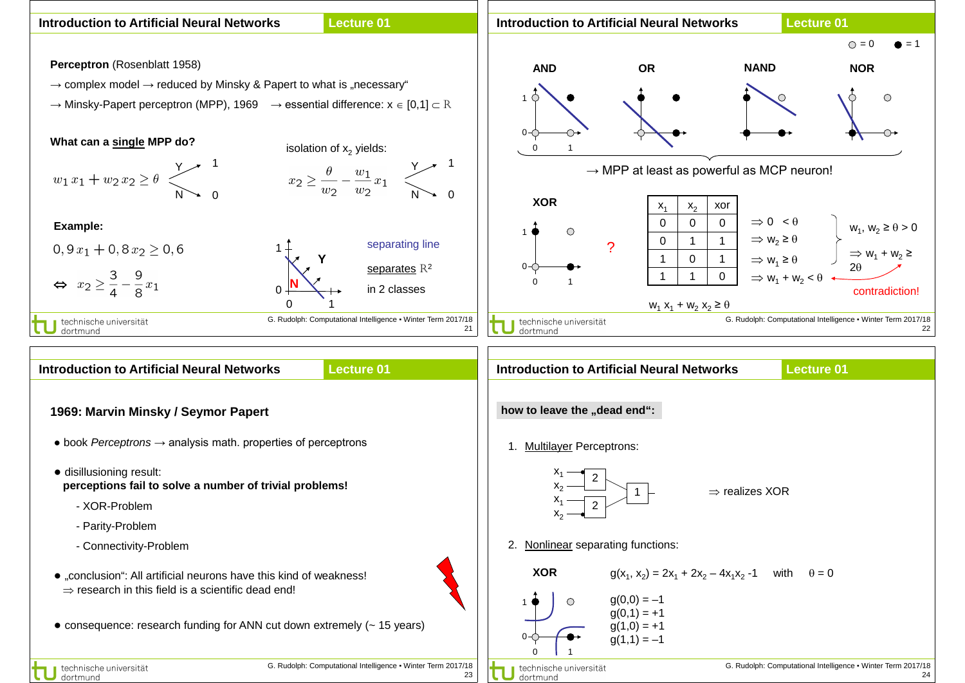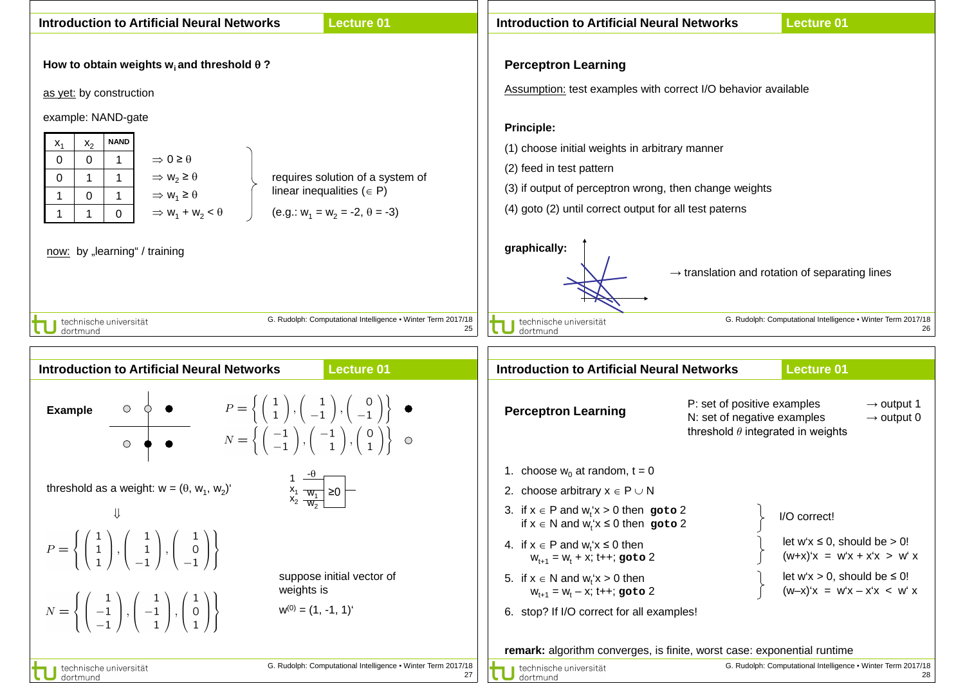